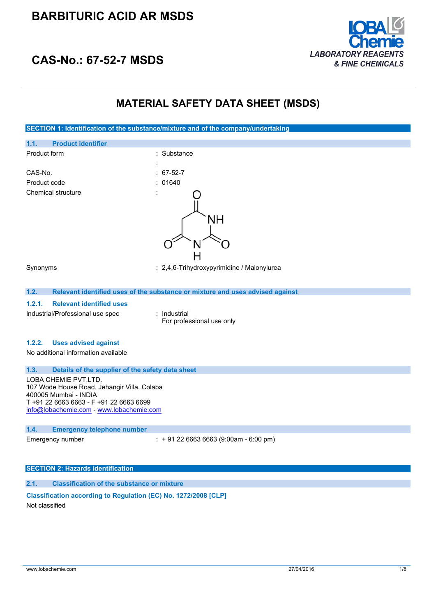

### **CAS-No.: 67-52-7 MSDS**

### **MATERIAL SAFETY DATA SHEET (MSDS)**

**SECTION 1: Identification of the substance/mixture and of the company/undertaking 1.1. Product identifier** Product form : Substance : Substance : CAS-No. : 67-52-7 Product code : 01640 Chemical structure NΗ н Synonyms : 2,4,6-Trihydroxypyrimidine / Malonylurea **1.2. Relevant identified uses of the substance or mixture and uses advised against 1.2.1. Relevant identified uses** Industrial/Professional use spec : Industrial For professional use only **1.2.2. Uses advised against** No additional information available **1.3. Details of the supplier of the safety data sheet** LOBA CHEMIE PVT.LTD. 107 Wode House Road, Jehangir Villa, Colaba 400005 Mumbai - INDIA T +91 22 6663 6663 - F +91 22 6663 6699 [info@lobachemie.com](mailto:info@lobachemie.com) - <www.lobachemie.com> **1.4. Emergency telephone number** Emergency number : + 91 22 6663 6663 (9:00am - 6:00 pm) **SECTION 2: Hazards identification**

### **2.1. Classification of the substance or mixture**

### **Classification according to Regulation (EC) No. 1272/2008 [CLP]**

Not classified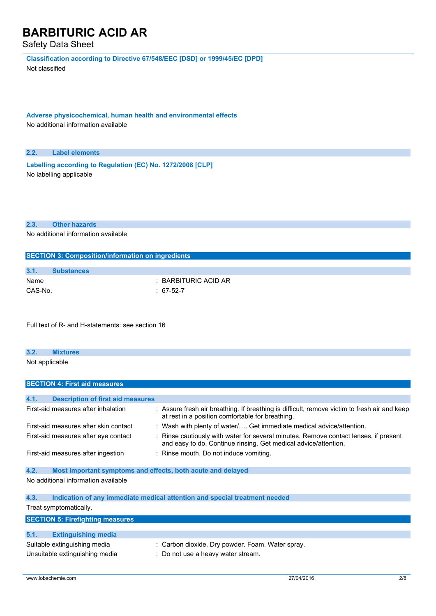Safety Data Sheet

**Classification according to Directive 67/548/EEC [DSD] or 1999/45/EC [DPD]**

Not classified

**Adverse physicochemical, human health and environmental effects** No additional information available

#### **2.2. Label elements**

**Labelling according to Regulation** (EC) No. 1272/2008 [CLP] No labelling applicable

#### **2.3. Other hazards**

No additional information available

| <b>SECTION 3: Composition/information on ingredients</b> |                   |                      |  |  |
|----------------------------------------------------------|-------------------|----------------------|--|--|
|                                                          |                   |                      |  |  |
| 3.1.                                                     | <b>Substances</b> |                      |  |  |
| Name                                                     |                   | : BARBITURIC ACID AR |  |  |
| CAS-No.                                                  |                   | 67-52-7              |  |  |

Full text of R- and H-statements: see section 16

# **3.2. Mixtures**

Not applicable

### **SECTION 4: First aid measures 4.1. Description of first aid measures** First-aid measures after inhalation : Assure fresh air breathing. If breathing is difficult, remove victim to fresh air and keep at rest in a position comfortable for breathing. First-aid measures after skin contact : Wash with plenty of water/.... Get immediate medical advice/attention. First-aid measures after eye contact : Rinse cautiously with water for several minutes. Remove contact lenses, if present and easy to do. Continue rinsing. Get medical advice/attention. First-aid measures after ingestion : Rinse mouth. Do not induce vomiting. **4.2. Most important symptoms and effects, both acute and delayed** No additional information available **4.3. Indication of any immediate medical attention and special treatment needed** Treat symptomatically. **SECTION 5: Firefighting measures 5.1. Extinguishing media** Suitable extinguishing media : Carbon dioxide. Dry powder. Foam. Water spray.

Unsuitable extinguishing media : Do not use a heavy water stream.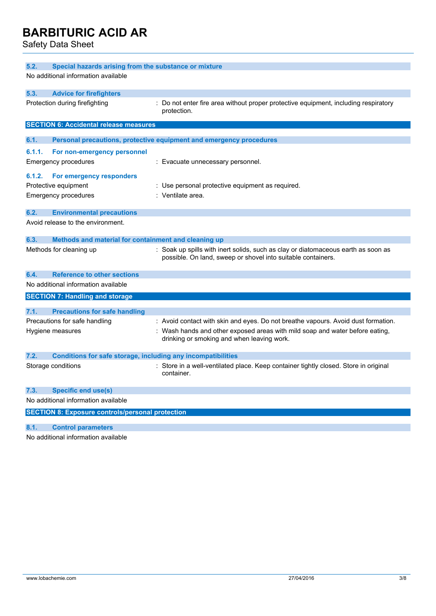Safety Data Sheet

| 5.2.                                                                 | Special hazards arising from the substance or mixture   |                                                                                                                                                   |  |  |
|----------------------------------------------------------------------|---------------------------------------------------------|---------------------------------------------------------------------------------------------------------------------------------------------------|--|--|
| No additional information available                                  |                                                         |                                                                                                                                                   |  |  |
| 5.3.                                                                 | <b>Advice for firefighters</b>                          |                                                                                                                                                   |  |  |
| Protection during firefighting                                       |                                                         | Do not enter fire area without proper protective equipment, including respiratory<br>protection.                                                  |  |  |
|                                                                      | <b>SECTION 6: Accidental release measures</b>           |                                                                                                                                                   |  |  |
| 6.1.                                                                 |                                                         | Personal precautions, protective equipment and emergency procedures                                                                               |  |  |
| 6.1.1.                                                               | For non-emergency personnel                             |                                                                                                                                                   |  |  |
| <b>Emergency procedures</b>                                          |                                                         | : Evacuate unnecessary personnel.                                                                                                                 |  |  |
| 6.1.2.                                                               | For emergency responders                                |                                                                                                                                                   |  |  |
| Protective equipment                                                 |                                                         | : Use personal protective equipment as required.                                                                                                  |  |  |
| Emergency procedures                                                 |                                                         | : Ventilate area.                                                                                                                                 |  |  |
| 6.2.                                                                 | <b>Environmental precautions</b>                        |                                                                                                                                                   |  |  |
| Avoid release to the environment.                                    |                                                         |                                                                                                                                                   |  |  |
| 6.3.                                                                 | Methods and material for containment and cleaning up    |                                                                                                                                                   |  |  |
| Methods for cleaning up                                              |                                                         | : Soak up spills with inert solids, such as clay or diatomaceous earth as soon as<br>possible. On land, sweep or shovel into suitable containers. |  |  |
| 6.4.                                                                 | <b>Reference to other sections</b>                      |                                                                                                                                                   |  |  |
| No additional information available                                  |                                                         |                                                                                                                                                   |  |  |
|                                                                      | <b>SECTION 7: Handling and storage</b>                  |                                                                                                                                                   |  |  |
| 7.1.                                                                 | <b>Precautions for safe handling</b>                    |                                                                                                                                                   |  |  |
| Precautions for safe handling                                        |                                                         | : Avoid contact with skin and eyes. Do not breathe vapours. Avoid dust formation.                                                                 |  |  |
| Hygiene measures                                                     |                                                         | : Wash hands and other exposed areas with mild soap and water before eating,<br>drinking or smoking and when leaving work.                        |  |  |
| 7.2.<br>Conditions for safe storage, including any incompatibilities |                                                         |                                                                                                                                                   |  |  |
| Storage conditions                                                   |                                                         | : Store in a well-ventilated place. Keep container tightly closed. Store in original<br>container.                                                |  |  |
| 7.3.                                                                 | Specific end use(s)                                     |                                                                                                                                                   |  |  |
| No additional information available                                  |                                                         |                                                                                                                                                   |  |  |
|                                                                      | <b>SECTION 8: Exposure controls/personal protection</b> |                                                                                                                                                   |  |  |
| 8.1.                                                                 | <b>Control parameters</b>                               |                                                                                                                                                   |  |  |

No additional information available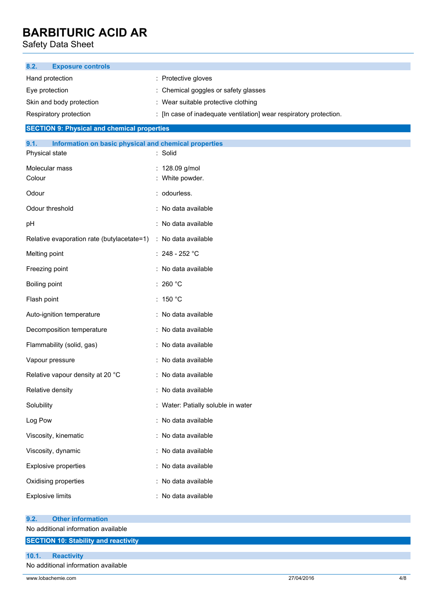Safety Data Sheet

| <b>Exposure controls</b><br>8.2.                                                |                                                                    |  |  |
|---------------------------------------------------------------------------------|--------------------------------------------------------------------|--|--|
| Hand protection                                                                 | : Protective gloves                                                |  |  |
| Eye protection                                                                  | : Chemical goggles or safety glasses                               |  |  |
| Skin and body protection                                                        | : Wear suitable protective clothing                                |  |  |
| Respiratory protection                                                          | : [In case of inadequate ventilation] wear respiratory protection. |  |  |
| <b>SECTION 9: Physical and chemical properties</b>                              |                                                                    |  |  |
| 9.1.<br>Information on basic physical and chemical properties<br>Physical state | : Solid                                                            |  |  |
| Molecular mass                                                                  | : 128.09 g/mol                                                     |  |  |
| Colour                                                                          | : White powder.                                                    |  |  |
| Odour                                                                           | : odourless.                                                       |  |  |
| Odour threshold                                                                 | : No data available                                                |  |  |
| pH                                                                              | : No data available                                                |  |  |
| Relative evaporation rate (butylacetate=1)                                      | : No data available                                                |  |  |
| Melting point                                                                   | $: 248 - 252 °C$                                                   |  |  |
| Freezing point                                                                  | : No data available                                                |  |  |
| Boiling point                                                                   | : 260 $^{\circ}$ C                                                 |  |  |
| Flash point                                                                     | : 150 °C                                                           |  |  |
| Auto-ignition temperature                                                       | : No data available                                                |  |  |
| Decomposition temperature                                                       | : No data available                                                |  |  |
| Flammability (solid, gas)                                                       | : No data available                                                |  |  |
| Vapour pressure                                                                 | : No data available                                                |  |  |
| Relative vapour density at 20 °C                                                | : No data available                                                |  |  |
| Relative density                                                                | : No data available                                                |  |  |
| Solubility                                                                      | : Water: Patially soluble in water                                 |  |  |
| Log Pow                                                                         | : No data available                                                |  |  |
| Viscosity, kinematic                                                            | : No data available                                                |  |  |
| Viscosity, dynamic                                                              | : No data available                                                |  |  |
| <b>Explosive properties</b>                                                     | : No data available                                                |  |  |
| Oxidising properties                                                            | : No data available                                                |  |  |
| <b>Explosive limits</b>                                                         | : No data available                                                |  |  |
| <b>Other information</b>                                                        |                                                                    |  |  |
| 9.2.<br>No additional information available                                     |                                                                    |  |  |
| <b>SECTION 10: Stability and reactivity</b>                                     |                                                                    |  |  |
| <b>Reactivity</b><br>10.1.                                                      |                                                                    |  |  |
| No additional information available                                             |                                                                    |  |  |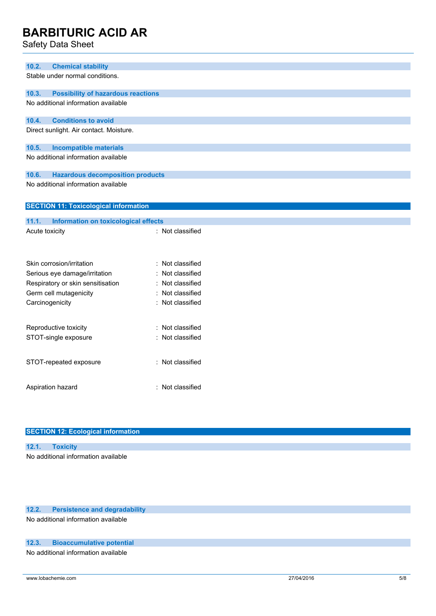Safety Data Sheet

| 10.2.                 | <b>Chemical stability</b>                    |                  |  |
|-----------------------|----------------------------------------------|------------------|--|
|                       | Stable under normal conditions.              |                  |  |
| 10.3.                 | <b>Possibility of hazardous reactions</b>    |                  |  |
|                       | No additional information available          |                  |  |
|                       |                                              |                  |  |
| 10.4.                 | <b>Conditions to avoid</b>                   |                  |  |
|                       | Direct sunlight. Air contact. Moisture.      |                  |  |
|                       |                                              |                  |  |
| 10.5.                 | <b>Incompatible materials</b>                |                  |  |
|                       | No additional information available          |                  |  |
|                       |                                              |                  |  |
| 10.6.                 | <b>Hazardous decomposition products</b>      |                  |  |
|                       | No additional information available          |                  |  |
|                       |                                              |                  |  |
|                       | <b>SECTION 11: Toxicological information</b> |                  |  |
|                       |                                              |                  |  |
| 11.1.                 | Information on toxicological effects         |                  |  |
| Acute toxicity        |                                              | : Not classified |  |
|                       |                                              |                  |  |
|                       |                                              |                  |  |
|                       | Skin corrosion/irritation                    | : Not classified |  |
|                       | Serious eye damage/irritation                | Not classified   |  |
|                       | Respiratory or skin sensitisation            | : Not classified |  |
|                       | Germ cell mutagenicity                       | : Not classified |  |
|                       | Carcinogenicity                              | : Not classified |  |
|                       |                                              |                  |  |
|                       |                                              |                  |  |
| Reproductive toxicity |                                              | : Not classified |  |
|                       | STOT-single exposure                         | : Not classified |  |
|                       |                                              |                  |  |
|                       | STOT-repeated exposure                       | : Not classified |  |
|                       |                                              |                  |  |
|                       |                                              |                  |  |
| Aspiration hazard     |                                              | : Not classified |  |
|                       |                                              |                  |  |

| <b>SECTION 12: Ecological information</b> |
|-------------------------------------------|
|                                           |
| 12.1. Toxicity                            |
| No additional information available       |
|                                           |

### **12.2. Persistence and degradability**

No additional information available

#### **12.3. Bioaccumulative potential**

No additional information available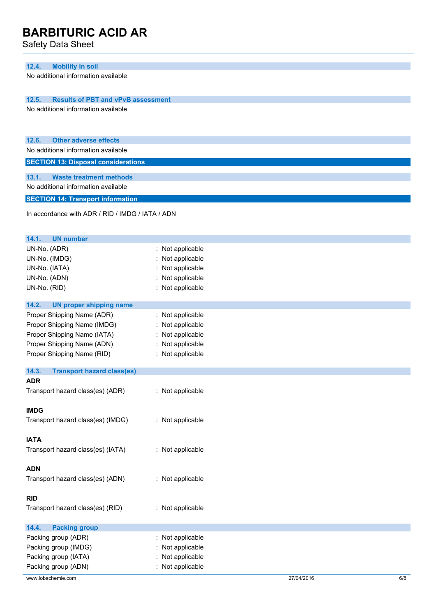Safety Data Sheet

#### **12.4. Mobility in soil**

No additional information available

**12.5. Results of PBT and vPvB assessment**

No additional information available

| 12.6. |  |  | <b>Other adverse effects</b> |  |
|-------|--|--|------------------------------|--|
|       |  |  |                              |  |

No additional information available

**SECTION 13: Disposal considerations**

**13.1. Waste treatment methods** No additional information available

**SECTION 14: Transport information**

In accordance with ADR / RID / IMDG / IATA / ADN

| 14.1.<br><b>UN number</b>                  |                  |            |     |
|--------------------------------------------|------------------|------------|-----|
| UN-No. (ADR)                               | : Not applicable |            |     |
| UN-No. (IMDG)                              | Not applicable   |            |     |
| UN-No. (IATA)                              | : Not applicable |            |     |
| UN-No. (ADN)                               | : Not applicable |            |     |
| UN-No. (RID)                               | : Not applicable |            |     |
|                                            |                  |            |     |
| 14.2.<br><b>UN proper shipping name</b>    |                  |            |     |
| Proper Shipping Name (ADR)                 | : Not applicable |            |     |
| Proper Shipping Name (IMDG)                | : Not applicable |            |     |
| Proper Shipping Name (IATA)                | : Not applicable |            |     |
| Proper Shipping Name (ADN)                 | : Not applicable |            |     |
| Proper Shipping Name (RID)                 | : Not applicable |            |     |
| 14.3.<br><b>Transport hazard class(es)</b> |                  |            |     |
| <b>ADR</b>                                 |                  |            |     |
| Transport hazard class(es) (ADR)           | : Not applicable |            |     |
|                                            |                  |            |     |
| <b>IMDG</b>                                |                  |            |     |
| Transport hazard class(es) (IMDG)          | : Not applicable |            |     |
|                                            |                  |            |     |
| <b>IATA</b>                                |                  |            |     |
| Transport hazard class(es) (IATA)          | : Not applicable |            |     |
|                                            |                  |            |     |
| <b>ADN</b>                                 |                  |            |     |
| Transport hazard class(es) (ADN)           | : Not applicable |            |     |
|                                            |                  |            |     |
| <b>RID</b>                                 |                  |            |     |
| Transport hazard class(es) (RID)           | : Not applicable |            |     |
| 14.4.<br><b>Packing group</b>              |                  |            |     |
| Packing group (ADR)                        | : Not applicable |            |     |
| Packing group (IMDG)                       | : Not applicable |            |     |
| Packing group (IATA)                       | : Not applicable |            |     |
| Packing group (ADN)                        | : Not applicable |            |     |
|                                            |                  |            |     |
| www.lobachemie.com                         |                  | 27/04/2016 | 6/8 |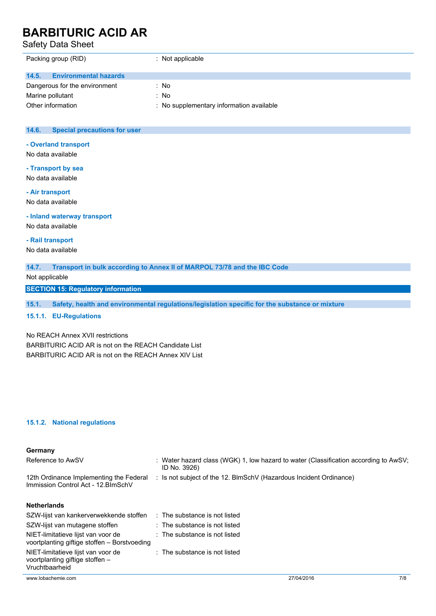Safety Data Sheet

| Packing group (RID)                   | $\therefore$ Not applicable              |
|---------------------------------------|------------------------------------------|
| 14.5.<br><b>Environmental hazards</b> |                                          |
| Dangerous for the environment         | : No                                     |
| Marine pollutant                      | : No                                     |
| Other information                     | : No supplementary information available |

#### **14.6. Special precautions for user**

#### **- Overland transport**

No data available

#### **- Transport by sea**

No data available

**- Air transport** No data available

### **- Inland waterway transport**

No data available

#### **- Rail transport**

No data available

#### **14.7. Transport in bulk according to Annex II of MARPOL 73/78 and the IBC Code**

Not applicable

#### **SECTION 15: Regulatory information**

**15.1. Safety, health and environmental regulations/legislation specific for the substance or mixture**

#### **15.1.1. EU-Regulations**

#### No REACH Annex XVII restrictions

BARBITURIC ACID AR is not on the REACH Candidate List BARBITURIC ACID AR is not on the REACH Annex XIV List

#### **15.1.2. National regulations**

#### **Germany**

| Reference to AwSV                                                              | : Water hazard class (WGK) 1, low hazard to water (Classification according to AwSV;<br>ID No. 3926) |
|--------------------------------------------------------------------------------|------------------------------------------------------------------------------------------------------|
| 12th Ordinance Implementing the Federal<br>Immission Control Act - 12. BlmSchV | : Is not subject of the 12. BlmSchV (Hazardous Incident Ordinance)                                   |
| <b>Netherlands</b><br>S7W-lijet van kankerverwekkende stoffen                  | The cubetance is not listed                                                                          |

| SZW-lijst van kankerverwekkende stoffen                                                 | : The substance is not listed |
|-----------------------------------------------------------------------------------------|-------------------------------|
| SZW-lijst van mutagene stoffen                                                          | : The substance is not listed |
| NIET-limitatieve lijst van voor de<br>voortplanting giftige stoffen - Borstvoeding      | : The substance is not listed |
| NIET-limitatieve lijst van voor de<br>voortplanting giftige stoffen -<br>Vruchtbaarheid | : The substance is not listed |